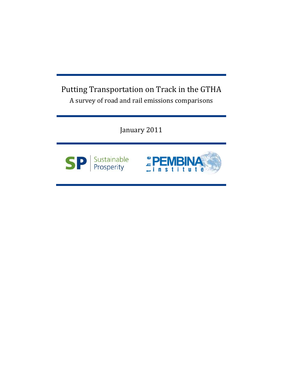# Putting Transportation on Track in the GTHA A survey of road and rail emissions comparisons

January 2011



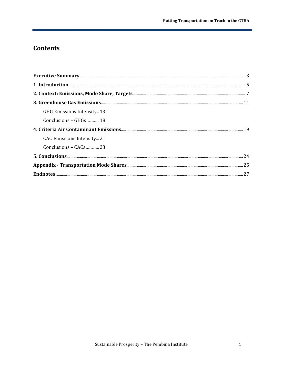# **Contents**

| GHG Emissions Intensity13 |  |
|---------------------------|--|
| Conclusions – GHGs 18     |  |
|                           |  |
| CAC Emissions Intensity21 |  |
| Conclusions – CACs 23     |  |
|                           |  |
|                           |  |
|                           |  |
|                           |  |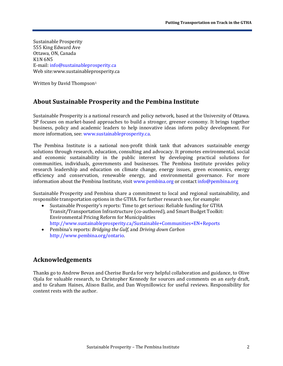Sustainable Prosperity 555 King Edward Ave Ottawa, ON, Canada K1N 6N5 E-mail: [info@sustainableprosperity.ca](mailto:info@sustainableprosperity.ca) Web site:www.sustainableprosperity.ca

Written by David Thompson<sup>[1](#page-27-1)</sup>

### **About Sustainable Prosperity and the Pembina Institute**

Sustainable Prosperity is a national research and policy network, based at the University of Ottawa. SP focuses on market-based approaches to build a stronger, greener economy. It brings together business, policy and academic leaders to help innovative ideas inform policy development. For more information, see: [www.sustainableprosperity.ca.](http://www.sustainableprosperity.ca/)

The Pembina Institute is a national non-profit think tank that advances sustainable energy solutions through research, education, consulting and advocacy. It promotes environmental, social and economic sustainability in the public interest by developing practical solutions for communities, individuals, governments and businesses. The Pembina Institute provides policy research leadership and education on climate change, energy issues, green economics, energy efficiency and conservation, renewable energy, and environmental governance. For more information about the Pembina Institute, visi[t www.pembina.org](http://www.pembina.org/) or contact [info@pembina.org](mailto:info@pembina.org)

Sustainable Prosperity and Pembina share a commitment to local and regional sustainability, and responsible transportation options in the GTHA. For further research see, for example:<br>Sustainable Prosperity's reports: Time to get serious: Reliable funding for GTHA

- Sustainable Prosperity's reports: Time to get serious: Reliable funding for GTHA Transit/Transportation Infrastructure (co-authored), and Smart Budget Toolkit: Environmental Pricing Reform for Municipalities <http://www.sustainableprosperity.ca/Sustainable+Communities+EN+Reports>
- Pembina's reports: *Bridging the Gulf,* and *Driving down Carbon* [http://www.pembina.org/ontario.](http://www.pembina.org/ontario)

# **Acknowledgements**

Thanks go to Andrew Bevan and Cherise Burda for very helpful collaboration and guidance, to Olive Ojala for valuable research, to Christopher Kennedy for sources and comments on an early draft, and to Graham Haines, Alison Bailie, and Dan Woynillowicz for useful reviews. Responsibility for content rests with the author.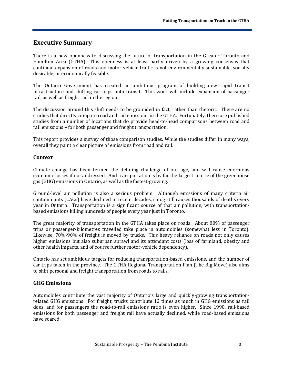## <span id="page-3-0"></span>**Executive Summary**

There is a new openness to discussing the future of transportation in the Greater Toronto and Hamilton Area (GTHA). This openness is at least partly driven by a growing consensus that continual expansion of roads and motor vehicle traffic is not environmentally sustainable, socially desirable, or economically feasible.

The Ontario Government has created an ambitious program of building new rapid transit infrastructure and shifting car trips onto transit. This work will include expansion of passenger rail, as well as freight rail, in the region.

The discussion around this shift needs to be grounded in fact, rather than rhetoric. There are no studies that directly compare road and rail emissions in the GTHA. Fortunately, there are published studies from a number of locations that do provide head-to-head comparisons between road and rail emissions – for both passenger and freight transportation.

This report provides a survey of those comparison studies. While the studies differ in many ways, overall they paint a clear picture of emissions from road and rail.

#### **Context**

Climate change has been termed the defining challenge of our age, and will cause enormous economic losses if not addressed. And transportation is by far the largest source of the greenhouse gas (GHG) emissions in Ontario, as well as the fastest-growing.

Ground-level air pollution is also a serious problem. Although emissions of many criteria air contaminants (CACs) have declined in recent decades, smog still causes thousands of deaths every year in Ontario. Transportation is a significant source of that air pollution, with transportationbased emissions killing hundreds of people every year just in Toronto.

The great majority of transportation in the GTHA takes place on roads. About 80% of passenger trips or passenger-kilometres travelled take place in automobiles (somewhat less in Toronto). Likewise, 70%-90% of freight is moved by trucks. This heavy reliance on roads not only causes higher emissions but also suburban sprawl and its attendant costs (loss of farmland, obesity and other health impacts, and of course further motor-vehicle dependency).

Ontario has set ambitious targets for reducing transportation-based emissions, and the number of car trips taken in the province. The GTHA Regional Transportation Plan (The Big Move) also aims to shift personal and freight transportation from roads to rails.

### **GHG Emissions**

Automobiles contribute the vast majority of Ontario's large and quickly-growing transportationrelated GHG emissions. For freight, trucks contribute 12 times as much in GHG emissions as rail does, and for passengers the road-to-rail emissions ratio is even higher. Since 1990, rail-based emissions for both passenger and freight rail have actually declined, while road-based emissions have soared.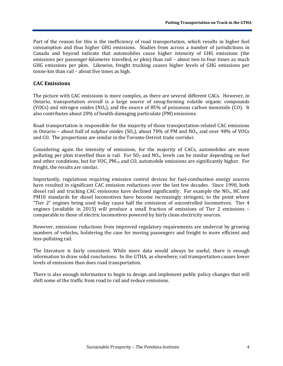Part of the reason for this is the inefficiency of road transportation, which results in higher fuel consumption and thus higher GHG emissions. Studies from across a number of jurisdictions in Canada and beyond indicate that automobiles cause higher intensity of GHG emissions (the emissions per passenger-kilometre travelled, or pkm) than rail – about two to four times as much GHG emissions per pkm. Likewise, freight trucking causes higher levels of GHG emissions per tonne-km than rail – about five times as high.

#### **CAC Emissions**

The picture with CAC emissions is more complex, as there are several different CACs. However, in Ontario, transportation overall is a large source of smog-forming volatile organic compounds (VOCs) and nitrogen oxides (NO<sub>x</sub>), and the source of 85% of poisonous carbon monoxide (CO). It also contributes about 20% of health-damaging particulate (PM) emissions.

Road transportation is responsible for the majority of those transportation-related CAC emissions in Ontario – about half of sulphur oxides ( $SO_x$ ), about 70% of PM and NO<sub>x</sub>, and over 98% of VOCs and CO. The proportions are similar in the Toronto-Detroit trade corridor.

Considering again the intensity of emissions, for the majority of CACs, automobiles are more polluting per pkm travelled than is rail. For  $SO_2$  and  $NO_x$ , levels can be similar depending on fuel and other conditions, but for VOC, PM<sub>10</sub> and CO, automobile emissions are significantly higher. For freight, the results are similar.

Importantly, regulations requiring emission control devices for fuel-combustion energy sources have resulted in significant CAC emission reductions over the last few decades. Since 1990, both diesel rail and trucking CAC emissions have declined significantly. For example the  $NO<sub>x</sub>$ , HC and PM10 standards for diesel locomotives have become increasingly stringent, to the point where "Tier 2" engines being used today cause half the emissions of uncontrolled locomotives. Tier 4 engines (available in 2015) will produce a small fraction of emissions of Tier 2 emissions – comparable to those of electric locomotives powered by fairly clean electricity sources.

However, emissions reductions from improved regulatory requirements are undercut by growing numbers of vehicles, bolstering the case for moving passengers and freight to more efficient and less-polluting rail.

The literature is fairly consistent. While more data would always be useful, there is enough information to draw solid conclusions. In the GTHA, as elsewhere, rail transportation causes lower levels of emissions than does road transportation.

There is also enough information to begin to design and implement public policy changes that will shift some of the traffic from road to rail and reduce emissions.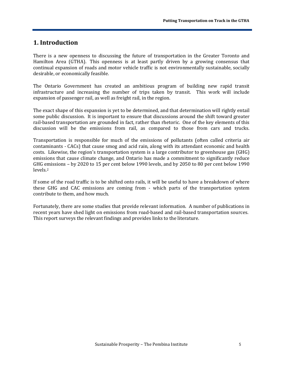### <span id="page-5-0"></span>**1. Introduction**

There is a new openness to discussing the future of transportation in the Greater Toronto and Hamilton Area (GTHA). This openness is at least partly driven by a growing consensus that continual expansion of roads and motor vehicle traffic is not environmentally sustainable, socially desirable, or economically feasible.

The Ontario Government has created an ambitious program of building new rapid transit infrastructure and increasing the number of trips taken by transit. This work will include expansion of passenger rail, as well as freight rail, in the region.

The exact shape of this expansion is yet to be determined, and that determination will rightly entail some public discussion. It is important to ensure that discussions around the shift toward greater rail-based transportation are grounded in fact, rather than rhetoric. One of the key elements of this discussion will be the emissions from rail, as compared to those from cars and trucks.

Transportation is responsible for much of the emissions of pollutants (often called criteria air contaminants - CACs) that cause smog and acid rain, along with its attendant economic and health costs. Likewise, the region's transportation system is a large contributor to greenhouse gas (GHG) emissions that cause climate change, and Ontario has made a commitment to significantly reduce GHG e[m](#page-27-2)issions – by 2020 to 15 per cent below 1990 levels, and by 2050 to 80 per cent below 1990 levels.2

If some of the road traffic is to be shifted onto rails, it will be useful to have a breakdown of where these GHG and CAC emissions are coming from - which parts of the transportation system contribute to them, and how much.

Fortunately, there are some studies that provide relevant information. A number of publications in recent years have shed light on emissions from road-based and rail-based transportation sources. This report surveys the relevant findings and provides links to the literature.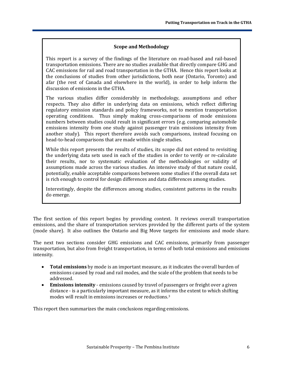#### **Scope and Methodology**

This report is a survey of the findings of the literature on road-based and rail-based transportation emissions. There are no studies available that directly compare GHG and CAC emissions for rail and road transportation in the GTHA. Hence this report looks at the conclusions of studies from other jurisdictions, both near (Ontario, Toronto) and afar (the rest of Canada and elsewhere in the world), in order to help inform the discussion of emissions in the GTHA.

The various studies differ considerably in methodology, assumptions and other respects. They also differ in underlying data on emissions, which reflect differing regulatory emission standards and policy frameworks, not to mention transportation operating conditions. Thus simply making cross-comparisons of mode emissions numbers between studies could result in significant errors (e.g. comparing automobile emissions intensity from one study against passenger train emissions intensity from another study). This report therefore avoids such comparisons, instead focusing on head-to-head comparisons that are made within single studies.

While this report presents the results of studies, its scope did not extend to revisiting the underlying data sets used in each of the studies in order to verify or re-calculate their results, nor to systematic evaluation of the methodologies or validity of assumptions made across the various studies. An intensive study of that nature could, potentially, enable acceptable comparisons between some studies if the overall data set is rich enough to control for design differences and data differences among studies.

Interestingly, despite the differences among studies, consistent patterns in the results do emerge.

The first section of this report begins by providing context. It reviews overall transportation emissions, and the share of transportation services provided by the different parts of the system (mode share). It also outlines the Ontario and Big Move targets for emissions and mode share.

The next two sections consider GHG emissions and CAC emissions, primarily from passenger transportation, but also from freight transportation, in terms of both total emissions and emissions intensity.

- **Total emissions** by mode is an important measure, as it indicates the overall burden of emissions caused by road and rail modes, and the scale of the problem that needs to be addressed.
- **Emissions intensity** emissions caused by travel of passengers or freight over a given distance - is a particularly important measure, as it inf[or](#page-27-3)ms the extent to which shifting modes will result in emissions increases or reductions.3

<span id="page-6-0"></span>This report then summarizes the main conclusions regarding emissions.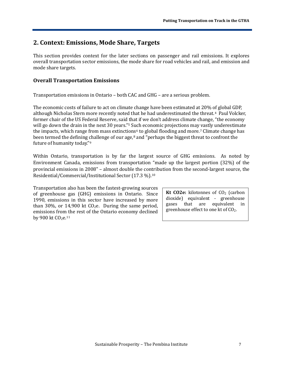# **2. Context: Emissions, Mode Share, Targets**

This section provides context for the later sections on passenger and rail emissions. It explores overall transportation sector emissions, the mode share for road vehicles and rail, and emission and mode share targets.

### **Overall Transportation Emissions**

Transportation emissions in Ontario – both CAC and GHG – are a serious problem.

The economic costs of failure to act on climate change have been estimated at 20% of global GDP, although Nicholas Stern more recently noted that he had underestimated the threat.[4](#page-27-4) Paul Volcker, former chair of the US Federal Reserve, said [t](#page-27-5)hat if we don't address climate change, "the economy will go down the drain in the next 30 years.<sup>"5</sup> Such economic projections may [v](#page-27-7)astly underestimate the impacts, which range from mass extinctio[ns](#page-27-8)<sup>[6](#page-27-6)</sup> to global flooding and more.<sup>7</sup> Climate change has been termed the defining [ch](#page-27-9)allenge of our age,<sup>8</sup> and "perhaps the biggest threat to confront the future of humanity today."9

Within Ontario, transportation is by far the largest source of GHG emissions. As noted by Environment Canada, emissions from transportation "made up the largest portion (32%) of the provincial emissions in 2008" – almost double the contribution from the second-largest source, the Residential/Commercial/Institutional Sector (17.3 %).[10](#page-27-10)

Transportation also has been the fastest-growing sources of greenhouse gas (GHG) emissions in Ontario. Since 1990, emissions in this sector have increased by more than 30%, or 14,900 kt  $CO<sub>2</sub>e$ . During the same period, emissions fro[m th](#page-28-0)e rest of the Ontario economy declined by 900 kt CO<sub>2</sub>e.<sup>11</sup>

**Kt CO2e:** kilotonnes of CO<sub>2</sub> (carbon dioxide) equivalent - greenhouse gases that are equivalent in greenhouse effect to one kt of  $CO<sub>2</sub>$ .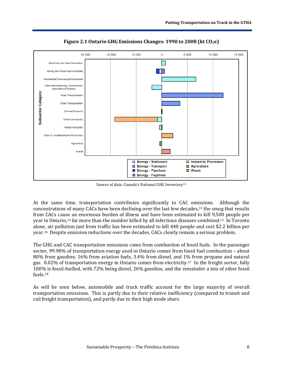

Figure 2.1 Ontario GHG Emissions Changes: 1990 to 2008 (kt CO<sub>2</sub>e)

Source of data: Canada's National GHG Inventory[12](#page-28-1)

At the same time, transportation contributes significantly to CAC emissions. Although the concentrations of many CACs have been declining over the last few decades,<sup>13</sup> the smog that results from CACs cause an enormous burden of illness and have been estimated to kill 9,500 people per year in Ontario,[14](#page-28-3) far more than the number killed by all infectious diseases combined.[15](#page-28-4) In Toronto alone, air pollution just from traffic has been estimated to kill 440 people and cost \$2.2 billion per year.[16](#page-28-5) Despite emission reductions over the decades, CACs clearly remain a serious problem.

The GHG and CAC transportation emissions come from combustion of fossil fuels. In the passenger sector, 99.98% of transportation energy used in Ontario comes from fossil fuel combustion – about 80% from gasoline, 16% from aviation fuels, 3.4% from diesel, and 1% from propane and natural gas. 0.02% of transportation energy in Ontario comes from electricity.[17](#page-28-6) In the freight sector, fully 100% is fossil-fuelled, with 72% being diesel, 26% gasoline, and the remainder a mix of other fossil fuels.[18](#page-28-7)

As will be seen below, automobile and truck traffic account for the large majority of overall transportation emissions. This is partly due to their relative inefficiency (compared to transit and rail freight transportation), and partly due to their high mode share.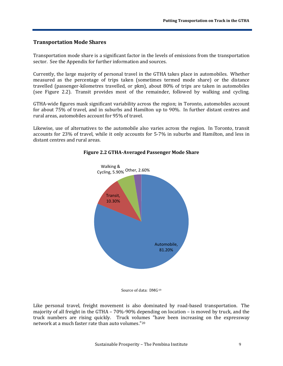#### **Transportation Mode Shares**

Transportation mode share is a significant factor in the levels of emissions from the transportation sector. See the Appendix for further information and sources.

Currently, the large majority of personal travel in the GTHA takes place in automobiles. Whether measured as the percentage of trips taken (sometimes termed mode share) or the distance travelled (passenger-kilometres travelled, or pkm), about 80% of trips are taken in automobiles (see Figure 2.2). Transit provides most of the remainder, followed by walking and cycling.

GTHA-wide figures mask significant variability across the region; in Toronto, automobiles account for about 75% of travel, and in suburbs and Hamilton up to 90%. In further distant centres and rural areas, automobiles account for 95% of travel.

Likewise, use of alternatives to the automobile also varies across the region. In Toronto, transit accounts for 23% of travel, while it only accounts for 5-7% in suburbs and Hamilton, and less in distant centres and rural areas.



#### **Figure 2.2 GTHA-Averaged Passenger Mode Share**

Like personal travel, freight movement is also dominated by road-based transportation. The majority of all freight in the GTHA – 70%-90% depending on location – is moved by truck, and the truck numbers are rising quickly. Truck volu[me](#page-28-9)s "have been increasing on the expressway network at a much faster rate than auto volumes."20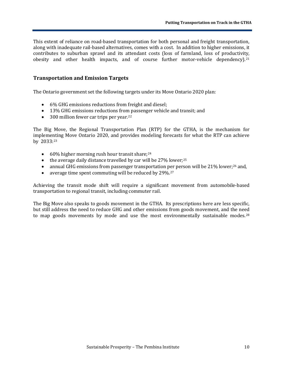This extent of reliance on road-based transportation for both personal and freight transportation, along with inadequate rail-based alternatives, comes with a cost. In addition to higher emissions, it contributes to suburban sprawl and its attendant costs (loss of farmland, loss of productivity, obesity and other health impacts, and of course further motor-vehicle dependency).<sup>[21](#page-28-10)</sup>

#### **Transportation and Emission Targets**

The Ontario government set the following targets under its Move Ontario 2020 plan:

- 6% GHG emissions reductions from freight and diesel;
- 13% GHG emissions reductions from passenger vehicle and transit; and
- 300 million fewer car trips per year.<sup>[22](#page-28-11)</sup>

The Big Move, the Regional Transportation Plan (RTP) for the GTHA, is the mechanism for impleme[nti](#page-28-12)ng Move Ontario 2020, and provides modeling forecasts for what the RTP can achieve by 2033: 23

- $\bullet$  60% higher morning rush hour transit share;  $24$
- $\bullet$  the average daily distance travelled by car will be 27% lower;<sup>[25](#page-29-1)</sup>
- annual GHG emissions from passeng[er](#page-29-3) transportation per person will be 21% lower;<sup>[26](#page-29-2)</sup> and,
- average time spent commuting will be reduced by 29%.<sup>27</sup>

Achieving the transit mode shift will require a significant movement from automobile-based transportation to regional transit, including commuter rail.

The Big Move also speaks to goods movement in the GTHA. Its prescriptions here are less specific, but still address the need to reduce GHG and other emissions from goods movement, and the need to map goods movements by mode and use the most environmentally sustainable modes.<sup>[28](#page-29-4)</sup>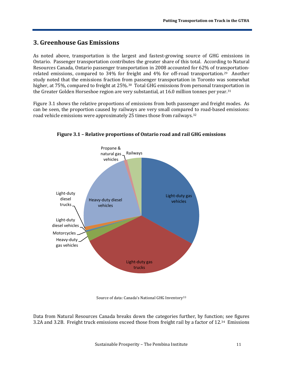# <span id="page-11-0"></span>**3. Greenhouse Gas Emissions**

As noted above, transportation is the largest and fastest-growing source of GHG emissions in Ontario. Passenger transportation contributes the greater share of this total. According to Natural Resources Canada, Ontario passenger transportation in 2008 accounted for 62% of transportationrelated emissions, compared to 34% for freight and 4% for off-road transportation.[29](#page-29-5) Another study noted that the emissions fraction from passenger transportation in Toronto was somewhat higher, at 75%, compared to freight at 25%.<sup>30</sup> Total GHG emissions from personal transportation in the Greater Golden Horseshoe region are very substantial, at 16.0 million tonnes per year.[31](#page-29-7)

Figure 3.1 shows the relative proportions of emissions from both passenger and freight modes. As can be seen, the proportion caused by railways are very small compared to road-based emissions: road vehicle emissions were approximately 25 times those from railways.[32](#page-29-8)



**Figure 3.1 – Relative proportions of Ontario road and rail GHG emissions**

Source of data: Canada's National GHG Inventory [33](#page-29-9)

Data from Natural Resources Canada breaks down the categories further, by function; see figures 3.2A and 3.2B. Freight truck emissions exceed those from freight rail by a factor of 12.[34](#page-29-10) Emissions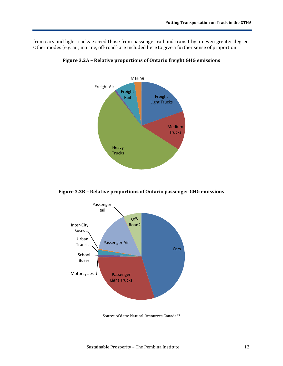from cars and light trucks exceed those from passenger rail and transit by an even greater degree. Other modes (e.g. air, marine, off-road) are included here to give a further sense of proportion.



**Figure 3.2A – Relative proportions of Ontario freight GHG emissions**

**Figure 3.2B – Relative proportions of Ontario passenger GHG emissions**



Source of data: Natural Resources Canada[35](#page-29-11)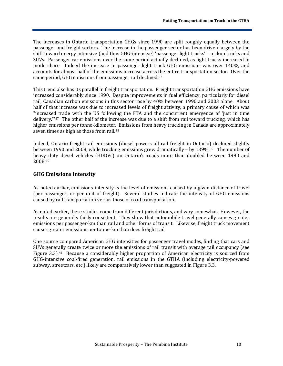The increases in Ontario transportation GHGs since 1990 are split roughly equally between the passenger and freight sectors. The increase in the passenger sector has been driven largely by the shift toward energy intensive (and thus GHG-intensive) 'passenger light trucks' – pickup trucks and SUVs. Passenger car emissions over the same period actually declined, as light trucks increased in mode share. Indeed the increase in passenger light truck GHG emissions was over 140%, and accounts for almost half of the emissions increase across [th](#page-29-12)e entire transportation sector. Over the same period, GHG emissions from passenger rail declined.36

This trend also has its parallel in freight transportation. Freight transportation GHG emissions have increased considerably since 1990. Despite improvements in fuel efficiency, particularly for diesel rail, Canadian carbon emissions in this sector rose by 40% between 1990 and 2003 alone. About half of that increase was due to increased levels of freight activity, a primary cause of which was "increased trade with the US following the FTA and the concurrent emergence of 'just in time delivery.'"[37](#page-29-13) The other half of the increase was due to a shift from rail toward trucking, which has higher emissions per tonne-kilometer. Emissions from heavy trucking in Canada are approximately seven times as high as those from rail.<sup>[38](#page-29-14)</sup>

Indeed, Ontario freight rail emissions (diesel powers all rail freight in Ontario) declined slightly between 1990 and 2008, while trucking emissions grew dramatically – by 139%.[39](#page-30-0) The number of heav[y d](#page-30-1)uty diesel vehicles (HDDVs) on Ontario's roads more than doubled between 1990 and 2008.40

#### <span id="page-13-0"></span>**GHG Emissions Intensity**

As noted earlier, emissions intensity is the level of emissions caused by a given distance of travel (per passenger, or per unit of freight). Several studies indicate the intensity of GHG emissions caused by rail transportation versus those of road transportation.

As noted earlier, these studies come from different jurisdictions, and vary somewhat. However, the results are generally fairly consistent. They show that automobile travel generally causes greater emissions per passenger-km than rail and other forms of transit. Likewise, freight truck movement causes greater emissions per tonne-km than does freight rail.

One source compared American GHG intensities for passenger travel modes, finding that cars and SUVs generally create twice or more the emissions of rail transit with average rail occupancy (see Figure 3.3).[41](#page-30-2) Because a considerably higher proportion of American electricity is sourced from GHG-intensive coal-fired generation, rail emissions in the GTHA (including electricity-powered subway, streetcars, etc.) likely are comparatively lower than suggested in Figure 3.3.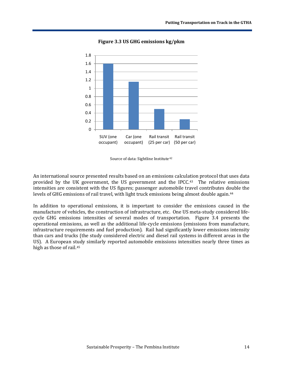

**Figure 3.3 US GHG emissions kg/pkm**

Source of data: Sightline Institute<sup>[42](#page-30-3)</sup>

An international source presented results based on an emissions calculation protocol that uses data provided by the UK government, the US government and the IPCC.[43](#page-30-4) The relative emissions intensities are consistent with the US figures; passenger automobile travel contributes double the levels of GHG emissions of rail travel, with light truck emissions being almost double again.<sup>[44](#page-30-5)</sup>

In addition to operational emissions, it is important to consider the emissions caused in the manufacture of vehicles, the construction of infrastructure, etc. One US meta-study considered lifecycle GHG emissions intensities of several modes of transportation. Figure 3.4 presents the operational emissions, as well as the additional life-cycle emissions (emissions from manufacture, infrastructure requirements and fuel production). Rail had significantly lower emissions intensity than cars and trucks (the study considered electric and diesel rail systems in different areas in the US). A European s[tud](#page-30-6)y similarly reported automobile emissions intensities nearly three times as high as those of rail.45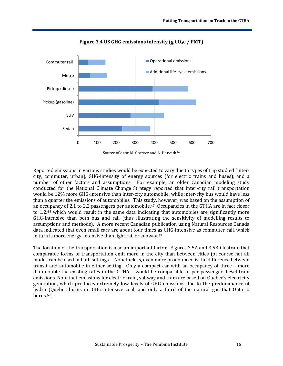

Figure 3.4 US GHG emissions intensity (g CO<sub>2</sub>e / PMT)

Source of data: M. Chester and A. Horvath<sup>[46](#page-30-7)</sup>

Reported emissions in various studies would be expected to vary due to types of trip studied (intercity, commuter, urban), GHG-intensity of energy sources (for electric trains and buses), and a number of other factors and assumptions. For example, an older Canadian modeling study conducted for the National Climate Change Strategy reported that inter-city rail transportation would be 12% more GHG-intensive than inter-city automobile, while inter-city bus would have less than a quarter the emissions of automobiles. This study, however, was based on the assumption of an occ[up](#page-30-9)ancy of 2.1 to 2.2 passengers per automobile.[47](#page-30-8) Occupancies in the GTHA are in fact closer to 1.2,48 which would result in the same data indicating that automobiles are significantly more GHG-intensive than both bus and rail (thus illustrating the sensitivity of modelling results to assumptions and methods). A more recent Canadian publication using Natural Resources Canada data indicated that even small cars are about four times as GHG-intensive as commuter rail, which in turn is more energy-intensive than light rail or subway.[49](#page-30-10)

The location of the transportation is also an important factor. Figures 3.5A and 3.5B illustrate that comparable forms of transportation emit more in the city than between cities (of course not all modes can be used in both settings). Nonetheless, even more pronounced is the difference between transit and automobile in either setting. Only a compact car with an occupancy of three – more than double the existing rates in the GTHA – would be comparable to per-passenger diesel train emissions. Note that emissions for electric train, subway and tram are based on Quebec's electricity generation, which produces extremely low levels of GHG emissions due to the predominance of hydro (Quebec burns no GHG-intensive coal, and only a third of the natural gas that Ontario  $burns.50$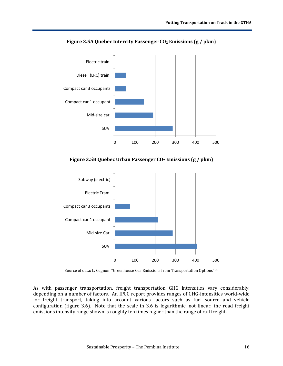

**Figure 3.5A Quebec Intercity Passenger CO2 Emissions (g / pkm)**

**Figure 3.5B Quebec Urban Passenger CO2 Emissions (g / pkm)**



Source of data: L. Gagnon, "Greenhouse Gas Emissions from Transportation Options"[51](#page-31-1)

As with passenger transportation, freight transportation GHG intensities vary considerably, depending on a number of factors. An IPCC report provides ranges of GHG-intensities world-wide for freight transport, taking into account various factors such as fuel source and vehicle configuration (figure 3.6). Note that the scale in 3.6 is logarithmic, not linear; the road freight emissions intensity range shown is roughly ten times higher than the range of rail freight.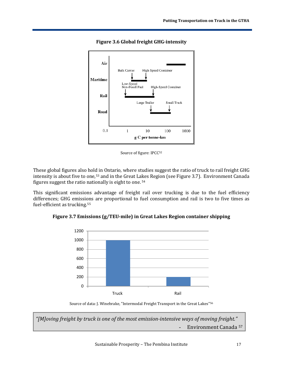

**Figure 3.6 Global freight GHG-intensity**

Source of figure: IPCC<sup>52</sup>

These global figures also hold in Ontario, where studies suggest the ratio of truck to rail freight GHG intensity is about five to one,<sup>[53](#page-31-3)</sup> and in the Great Lakes Region (see Figure 3.7). Environment Canada figures suggest the ratio nationally is eight to one. [54](#page-31-4) 

This significant emissions advantage of freight rail over trucking is due to the fuel efficiency differences; GHG emissi[on](#page-31-5)s are proportional to fuel consumption and rail is two to five times as fuel-efficient as trucking.<sup>55</sup>





Source of data: J. Winebrake, "Intermodal Freight Transport in the Great Lakes" [56](#page-31-6)

*"[M]oving freight by truck is one of the most emission-intensive ways of moving freight."* - Environment Canada [57](#page-31-7)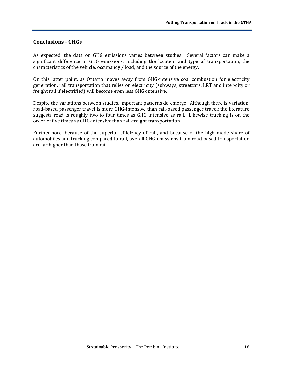#### <span id="page-18-0"></span>**Conclusions - GHGs**

As expected, the data on GHG emissions varies between studies. Several factors can make a significant difference in GHG emissions, including the location and type of transportation, the characteristics of the vehicle, occupancy / load, and the source of the energy.

On this latter point, as Ontario moves away from GHG-intensive coal combustion for electricity generation, rail transportation that relies on electricity (subways, streetcars, LRT and inter-city or freight rail if electrified) will become even less GHG-intensive.

Despite the variations between studies, important patterns do emerge. Although there is variation, road-based passenger travel is more GHG-intensive than rail-based passenger travel; the literature suggests road is roughly two to four times as GHG intensive as rail. Likewise trucking is on the order of five times as GHG-intensive than rail-freight transportation.

Furthermore, because of the superior efficiency of rail, and because of the high mode share of automobiles and trucking compared to rail, overall GHG emissions from road-based transportation are far higher than those from rail.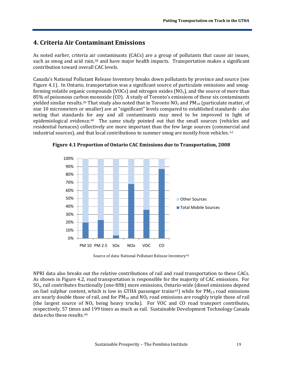### <span id="page-19-0"></span>**4. Criteria Air Contaminant Emissions**

As noted earlier, criteria ai[r c](#page-31-8)ontaminants (CACs) are a group of pollutants that cause air issues, such as smog and acid rain,<sup>58</sup> and have major health impacts. Transportation makes a significant contribution toward overall CAC levels.

Canada's National Pollutant Release Inventory breaks down pollutants by province and source (see Figure 4.1). In Ontario, transportation was a significant source of particulate emissions and smogforming volatile organic compounds (VOCs) and nitrogen oxides  $(NO<sub>x</sub>)$ , and the source of more than 85% of poisonous carbon monoxide (CO). A study of Toronto's emissions of these six contaminants yielded similar results.<sup>[59](#page-31-9)</sup> That study also noted that in Toronto  $NO<sub>x</sub>$  and  $PM<sub>10</sub>$  (particulate matter, of size 10 micrometers or smaller) are at "significant" levels compared to established standards - also noting that standards for any and all contaminants may need to be improved in light of epidemiological evidence.[60](#page-31-10) The same study pointed out that the small sources (vehicles and residential furnaces) collectively are more important than the few large sources (comm[erc](#page-31-11)ial and industrial sources), and that local contributions to summer smog are mostly from vehicles. <sup>61</sup>



**Figure 4.1 Proportion of Ontario CAC Emissions due to Transportation, 2008** 

Source of data: National Pollutant Release Inventory [62](#page-31-12)

NPRI data also breaks out the relative contributions of rail and road transportation to these CACs. As shown in Figure 4.2, road transportation is responsible for the majority of CAC emissions. For SOx, rail contributes fractionally (one-fifth) more emissions, Ontario-wide (diesel emissions depend on fuel sulphur content, which is low in GTHA passenger trains<sup>[63](#page-32-0)</sup>) while for  $PM_{2.5}$  road emissions are nearly double those of rail, and for  $PM_{10}$  and  $NO_x$  road emissions are roughly triple those of rail (the largest source of  $NO<sub>x</sub>$  being heavy trucks). For VOC and CO road transport contributes, respectively, 57 times and 199 times as much as rail. Sustainable Development Technology Canada data echo these results.[64](#page-32-1)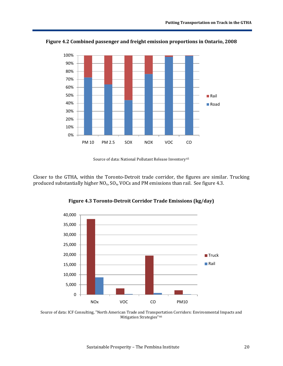

**Figure 4.2 Combined passenger and freight emission proportions in Ontario, 2008**

Source of data: National Pollutant Release Inventory<sup>[65](#page-32-2)</sup>

Closer to the GTHA, within the Toronto-Detroit trade corridor, the figures are similar. Trucking produced substantially higher  $NO<sub>x</sub>$ ,  $SO<sub>x</sub>$ , VOCs and PM emissions than rail. See figure 4.3.



**Figure 4.3 Toronto-Detroit Corridor Trade Emissions (kg/day)** 

Source of data: ICF Consulting, "North American Trade and Transp[ort](#page-32-3)ation Corridors: Environmental Impacts and Mitigation Strategies" 66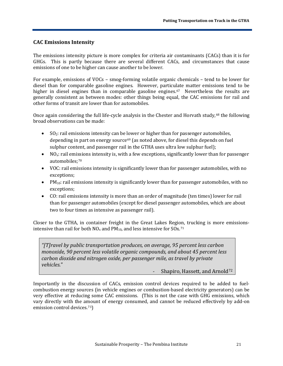#### <span id="page-21-0"></span>**CAC Emissions Intensity**

The emissions intensity picture is more complex for criteria air contaminants (CACs) than it is for GHGs. This is partly because there are several different CACs, and circumstances that cause emissions of one to be higher can cause another to be lower.

For example, emissions of VOCs – smog-forming volatile organic chemicals – tend to be lower for diesel than for comparable gasoline engines. However, particulate matter emissions tend to be higher in diesel engines than in comparable gasoline engines.<sup>67</sup> Nevertheless the results are generally consistent as between modes: other things being equal, the CAC emissions for rail and other forms of transit are lower than for automobiles.

Once again considering the full life-cycle analysis in the Chester and Horvath study,<sup>[68](#page-32-5)</sup> the following broad observations can be made:

- SO<sub>2</sub>: rail emissions intensity can be [low](#page-32-6)er or higher than for passenger automobiles, depending in part on energy source 69 (as noted above, for diesel this depends on fuel sulphur content, and passenger rail in the GTHA uses ultra low sulphur fuel);
- $\bullet$  NO<sub>x</sub>: rail emi[ssi](#page-32-7)ons intensity is, with a few exceptions, significantly lower than for passenger automobiles; 70
- VOC: rail emissions intensity is significantly lower than for passenger automobiles, with no exceptions;
- PM<sub>10</sub>: rail emissions intensity is significantly lower than for passenger automobiles, with no exceptions;
- CO: rail emissions intensity is more than an order of magnitude (ten times) lower for rail than for passenger automobiles (except for diesel passenger automobiles, which are about two to four times as intensive as passenger rail).

Closer to the GTHA, in container freight in the Great Lakes Region, trucking is more emissionsintensive than rail for both  $NO<sub>x</sub>$  and PM<sub>10</sub>, and less intensive for SOx.<sup>[71](#page-32-8)</sup>

*"[T]ravel by public transportation produces, on average, 95 percent less carbon monoxide, 90 percent less volatile organic compounds, and about 45 percent less carbon dioxide and nitrogen oxide, per passenger mile, as travel by private vehicles.*"

Shapiro, Hassett, and Arnold<sup>[72](#page-32-9)</sup>

Importantly in the discussion of CACs, emission control devices required to be added to fuelcombustion energy sources (in vehicle engines or combustion-based electricity generators) can be very effective at reducing some CAC emissions. (This is not the case with GHG emissions, which vary directly with the amount of energy consumed, and cannot be reduced effectively by add-on emission control devices.<sup>[73](#page-32-10)</sup>)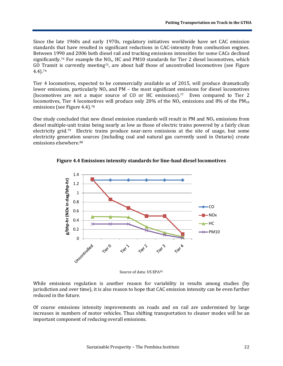Since the late 1960s and early 1970s, regulatory initiatives worldwide have set CAC emission standards that have resulted in significant reductions in CAC-intensity from combustion engines. Between 1990 and 2006 both diesel rail and trucking emissions intensities for some CACs declined significantly.<sup>[74](#page-32-11)</sup> For example the  $NO<sub>x</sub>$ , HC and PM10 standards for Tier 2 diesel locomotives, which GO Transit is currently meeting<sup>75</sup>, are about half those of uncontrolled locomotives (see Figure 4.4).[76](#page-33-0)

Tier 4 locomotives, expected to be commercially available as of 2015, will produce dramatically lower emissions, particularly  $NO<sub>x</sub>$  and PM – the most significant emissions for diesel locomotives (locomotives are not a major source of CO or HC emissions).[77](#page-33-1) Even compared to Tier 2 locomotives, Tier 4 locomotives will produce only 20% of the  $NO<sub>x</sub>$  emissions and 8% of the PM<sub>10</sub> emissions (see Figure 4.4).<sup>[78](#page-33-2)</sup>

One study concluded that new diesel emission standards will result in PM and  $NO<sub>x</sub>$  emissions from diesel multiple-unit trains being nearly as low as those of electric trains powered by a fairly clean electricity grid[.79](#page-33-3) Electric trains produce near-zero emissions at the site of usage, but some electricity generation sources (including coal and natural gas currently used in Ontario) create emissions elsewhere.[80](#page-33-4)

**Figure 4.4 Emissions intensity standards for line-haul diesel locomotives**



Source of data: US EPA<sup>[81](#page-33-5)</sup>

While emissions regulation is another reason for variability in results among studies (by jurisdiction and over time), it is also reason to hope that CAC emission intensity can be even further reduced in the future.

<span id="page-22-0"></span>Of course emissions intensity improvements on roads and on rail are undermined by large increases in numbers of motor vehicles. Thus shifting transportation to cleaner modes will be an important component of reducing overall emissions.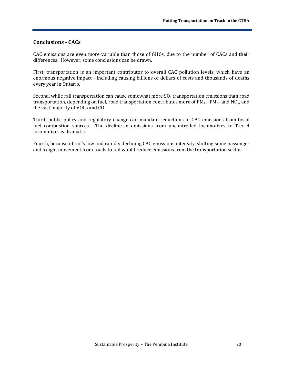#### **Conclusions - CACs**

CAC emissions are even more variable than those of GHGs, due to the number of CACs and their differences. However, some conclusions can be drawn.

First, transportation is an important contributor to overall CAC pollution levels, which have an enormous negative impact - including causing billions of dollars of costs and thousands of deaths every year in Ontario.

Second, while rail transportation can cause somewhat more  $SO<sub>x</sub>$  transportation emissions than road transportation, depending on fuel, road transportation contributes more of  $PM_{10}$ ,  $PM_{2.5}$  and NO<sub>x</sub>, and the vast majority of VOCs and CO.

Third, public policy and regulatory change can mandate reductions in CAC emissions from fossil fuel combustion sources. The decline in emissions from uncontrolled locomotives to Tier 4 locomotives is dramatic.

Fourth, because of rail's low and rapidly declining CAC emissions intensity, shifting some passenger and freight movement from roads to rail would reduce emissions from the transportation sector.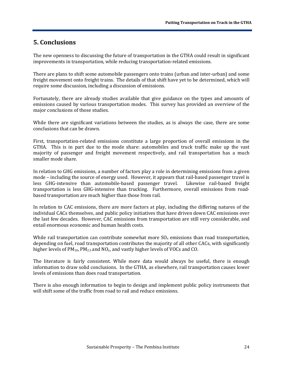### <span id="page-24-0"></span>**5. Conclusions**

The new openness to discussing the future of transportation in the GTHA could result in significant improvements in transportation, while reducing transportation-related emissions.

There are plans to shift some automobile passengers onto trains (urban and inter-urban) and some freight movement onto freight trains. The details of that shift have yet to be determined, which will require some discussion, including a discussion of emissions.

Fortunately, there are already studies available that give guidance on the types and amounts of emissions caused by various transportation modes. This survey has provided an overview of the major conclusions of those studies.

While there are significant variations between the studies, as is always the case, there are some conclusions that can be drawn.

First, transportation-related emissions constitute a large proportion of overall emissions in the GTHA. This is in part due to the mode share: automobiles and truck traffic make up the vast majority of passenger and freight movement respectively, and rail transportation has a much smaller mode share.

In relation to GHG emissions, a number of factors play a role in determining emissions from a given mode – including the source of energy used. However, it appears that rail-based passenger travel is less GHG-intensive than automobile-based passenger travel. Likewise rail-based freight less GHG-intensive than automobile-based passenger travel. transportation is less GHG-intensive than trucking. Furthermore, overall emissions from roadbased transportation are much higher than those from rail.

In relation to CAC emissions, there are more factors at play, including the differing natures of the individual CACs themselves, and public policy initiatives that have driven down CAC emissions over the last few decades. However, CAC emissions from transportation are still very considerable, and entail enormous economic and human health costs.

While rail transportation can contribute somewhat more  $SO_{x}$  emissions than road transportation, depending on fuel, road transportation contributes the majority of all other CACs, with significantly higher levels of  $PM_{10}$ ,  $PM_{2.5}$  and  $NQ_x$ , and vastly higher levels of VOCs and CO.

The literature is fairly consistent. While more data would always be useful, there is enough information to draw solid conclusions. In the GTHA, as elsewhere, rail transportation causes lower levels of emissions than does road transportation.

There is also enough information to begin to design and implement public policy instruments that will shift some of the traffic from road to rail and reduce emissions.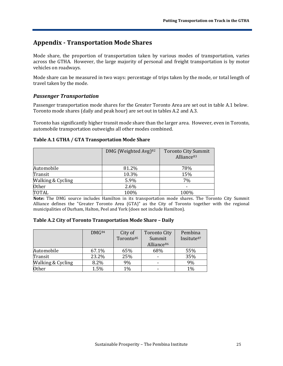# <span id="page-25-0"></span>**Appendix - Transportation Mode Shares**

Mode share, the proportion of transportation taken by various modes of transportation, varies across the GTHA. However, the large majority of personal and freight transportation is by motor vehicles on roadways.

Mode share can be measured in two ways: percentage of trips taken by the mode, or total length of travel taken by the mode.

#### *Passenger Transportation*

Passenger transportation mode shares for the Greater Toronto Area are set out in table A.1 below. Toronto mode shares (daily and peak hour) are set out in tables A.2 and A.3.

Toronto has significantly higher transit mode share than the larger area. However, even in Toronto, automobile transportation outweighs all other modes combined.

#### **Table A.1 GTHA / GTA Transportation Mode Share**

|                   | DMG (Weighted Avg) <sup>82</sup> | <b>Toronto City Summit</b><br>Alliance <sup>83</sup> |
|-------------------|----------------------------------|------------------------------------------------------|
| Automobile        | 81.2%                            | 78%                                                  |
| Transit           | 10.3%                            | 15%                                                  |
| Walking & Cycling | 5.9%                             | 7%                                                   |
| <b>Other</b>      | 2.6%                             |                                                      |
| <b>TOTAL</b>      | 100%                             | 100%                                                 |

**Note:** The DMG source includes Hamilton in its transportation mode shares. The Toronto City Summit Alliance defines the "Greater Toronto Area (GTA)" as the City of Toronto together with the regional municipalities of Durham, Halton, Peel and York (does not include Hamilton).

#### **Table A.2 City of Toronto Transportation Mode Share – Daily**

|                   | DMG <sup>84</sup> | City of               | <b>Toronto City</b>      | Pembina                |
|-------------------|-------------------|-----------------------|--------------------------|------------------------|
|                   |                   | Toronto <sup>85</sup> | Summit                   | Insitute <sup>87</sup> |
|                   |                   |                       | Alliance <sup>86</sup>   |                        |
| Automobile        | 67.1%             | 65%                   | 68%                      | 55%                    |
| Transit           | 23.2%             | 25%                   | $\overline{\phantom{0}}$ | 35%                    |
| Walking & Cycling | 8.2%              | 9%                    |                          | 9%                     |
| <b>Other</b>      | 1.5%              | 1%                    |                          | 1%                     |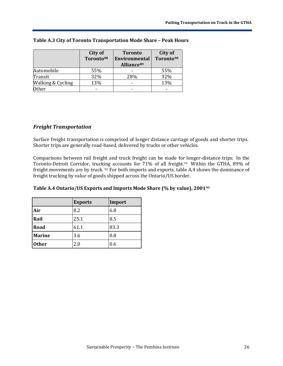|                   | City of               | <b>Toronto</b>         | City of               |
|-------------------|-----------------------|------------------------|-----------------------|
|                   | Toronto <sup>88</sup> | Environmental          | Toronto <sup>90</sup> |
|                   |                       | Alliance <sup>89</sup> |                       |
| Automobile        | 55%                   |                        | 55%                   |
| Transit           | 32%                   | 28%                    | 32%                   |
| Walking & Cycling | 13%                   |                        | 13%                   |
| <b>Other</b>      |                       |                        |                       |

#### **Table A.3 City of Toronto Transportation Mode Share – Peak Hours**

#### *Freight Transportation*

Surface freight transportation is comprised of longer distance carriage of goods and shorter trips. Shorter trips are generally road-based, delivered by trucks or other vehicles.

Comparisons between rail freight and truck freight can be made for longer-distance trips. In the Toronto-Detroit Corridor, truck[ing](#page-34-2) accounts for 71% of all freight.<sup>[91](#page-34-1)</sup> Within the GTHA, 89% of freight movements are by truck. <sup>92</sup> For both imports and exports, table A.4 shows the dominance of freight trucking by value of goods shipped across the Ontario/US border.

|               | <b>Exports</b> | Import |
|---------------|----------------|--------|
| Air           | 8.2            | 6.8    |
| Rail          | 25.1           | 8.5    |
| Road          | 61.1           | 83.3   |
| <b>Marine</b> | 3.6            | 0.8    |
| <b>Other</b>  | 2.0            | 0.6    |

#### **Table A.4 Ontario/US Exports and Imports Mode Share (% by value), 2001[93](#page-34-3)**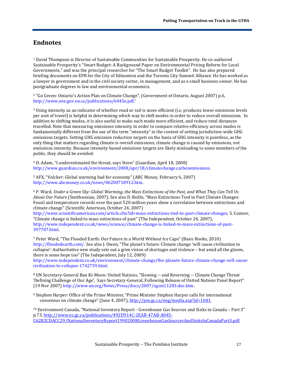# <span id="page-27-0"></span>**Endnotes**

<span id="page-27-1"></span><sup>1</sup> David Thompson is Director of Sustainable Communities for Sustainable Prosperity. He co-authored Sustainable Prosperity's "Smart Budget: A Background Paper on Environmental Pricing Reform for Local Governments," and was the principal researcher for "The Smart Budget Toolkit". He has also prepared briefing documents on EPR for the City of Edmonton and the Toronto City Summit Alliance. He has worked as a lawyer in government and in the civil society sector, in management, and as a small business owner. He has postgraduate degrees in law and environmental economics.

<span id="page-27-2"></span><sup>2</sup> "Go Green: Ontario's Action Plan on Climate Change", (Government of Ontario, August 2007) p.6, [http://www.ene.gov.on.ca/publications/6445e.pdf.](http://www.ene.gov.on.ca/publications/6445e.pdf)'

<span id="page-27-3"></span><sup>3</sup> Using intensity as an indicator of whether road or rail is more efficient (i.e. produces lower emissions levels per unit of travel) is helpful in determining which way to shift modes in order to reduce overall emissions. In addition to shifting modes, it is also useful to make each mode more efficient, and reduce total distances travelled. Note that measuring emissions intensity in order to compare relative efficiency across modes is fundamentally different from the use of the term "intensity" in the context of setting jurisdiction-wide GHG emissions targets. Setting GHG emission reduction *targets* on the basis of GHG intensity is pointless, as the only thing that matters regarding climate is overall emissions; climate change is caused by emissions, not emissions intensity. Because intensity-based emissions targets are likely misleading to some members of the public, they should be avoided.

<span id="page-27-4"></span><sup>4</sup> D. Adam, "I underestimated the threat, says Stern" (Guardian, April 18, 2008) [http://www.guardian.co.uk/environment/2008/apr/18/climatechange.carbonemissions.](http://www.guardian.co.uk/environment/2008/apr/18/climatechange.carbonemissions)

<span id="page-27-5"></span><sup>5</sup> AFX, "Volcker: Global warming bad for economy" (ABC Money, February 6, 2007) [http://www.abcmoney.co.uk/news/06200718912.htm.](http://www.abcmoney.co.uk/news/06200718912.htm)

<span id="page-27-6"></span><sup>6</sup> P. Ward, *Under a Green Sky: Global Warming, the Mass Extinctions of the Past, and What They Can Tell Us About Our Future* (Smithsonian, 2007). See also D. Beillo, "Mass Extinctions Tied to Past Climate Changes: Fossil and temperature records over the past 520 million years show a correlation between extinctions and climate change" (Scientific American, October 24, 2007)

http://www.scientificamerican.com/article.cfm?id=mass-extinctions-tied-to-past-climate-changes; S. Connor, "Climate change is linked to mass extinctions of past" (The Independent, October 24, 2007), [http://www.independent.co.uk/news/science/climate-change-is-linked-to-mass-extinctions-of-past-](http://www.independent.co.uk/news/science/climate-change-is-linked-to-mass-extinctions-of-past-397707.html)[397707.html.](http://www.independent.co.uk/news/science/climate-change-is-linked-to-mass-extinctions-of-past-397707.html)

<span id="page-27-7"></span><sup>7</sup> Peter Ward, "The Flooded Earth: Our Future in a World Without Ice Caps" (Basic Books, 2010) [http://floodedearth.com/.](http://floodedearth.com/) See also J. Owen, "The planet's future: Climate change 'will cause civilisation to collapse': Authoritative new study sets out a grim vision of shortages and violence – but amid all the gloom, there is some hope too" (The Independent, July 12, 2009)

[http://www.independent.co.uk/environment/climate-change/the-planets-future-climate-change-will-cause](http://www.independent.co.uk/environment/climate-change/the-planets-future-climate-change-will-cause-civilisation-to-collapse-1742759.html)[civilisation-to-collapse-1742759.html.](http://www.independent.co.uk/environment/climate-change/the-planets-future-climate-change-will-cause-civilisation-to-collapse-1742759.html)

<span id="page-27-8"></span><sup>8</sup> UN Secretary-General Ban Ki-Moon: United Nations, "Slowing -- and Reversing -- Climate Change Threat 'Defining Challenge of Our Age', Says Secretary-General, Following Release of United Nations Panel Report" (19 Nov 2007[\) http://www.un.org/News/Press/docs/2007/sgsm11283.doc.htm.](http://www.un.org/News/Press/docs/2007/sgsm11283.doc.htm)

<span id="page-27-9"></span><sup>9</sup> Stephen Harper: Office of the Prime Minister, "Prime Minister Stephen Harper calls for international consensus on climate change" (June 4, 2007)[, http://pm.gc.ca/eng/media.asp?id=1681.](http://pm.gc.ca/eng/media.asp?id=1681)

<span id="page-27-10"></span><sup>10</sup> Environment Canada, "National Inventory Report - Greenhouse Gas Sources and Sinks in Canada – Part 3" p.73, [http://www.ec.gc.ca/publications/492D914C-2EAB-47AB-A045-](http://www.ec.gc.ca/publications/492D914C-2EAB-47AB-A045-C62B2CDACC29/NationalInventoryReport19902008GreenhouseGasSourcesAndSinksInCanadaPart3.pdf) [C62B2CDACC29/NationalInventoryReport19902008GreenhouseGasSourcesAndSinksInCanadaPart3.pdf.](http://www.ec.gc.ca/publications/492D914C-2EAB-47AB-A045-C62B2CDACC29/NationalInventoryReport19902008GreenhouseGasSourcesAndSinksInCanadaPart3.pdf)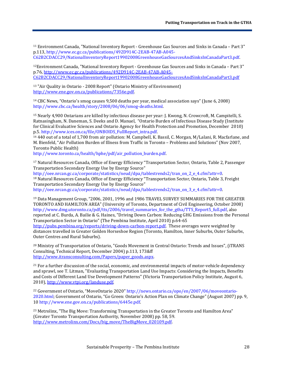<span id="page-28-0"></span><sup>11</sup> Environment Canada, "National Inventory Report - Greenhouse Gas Sources and Sinks in Canada – Part 3" p.113[, http://www.ec.gc.ca/publications/492D914C-2EAB-47AB-A045-](http://www.ec.gc.ca/publications/492D914C-2EAB-47AB-A045-C62B2CDACC29/NationalInventoryReport19902008GreenhouseGasSourcesAndSinksInCanadaPart3.pdf) [C62B2CDACC29/NationalInventoryReport19902008GreenhouseGasSourcesAndSinksInCanadaPart3.pdf.](http://www.ec.gc.ca/publications/492D914C-2EAB-47AB-A045-C62B2CDACC29/NationalInventoryReport19902008GreenhouseGasSourcesAndSinksInCanadaPart3.pdf)

<span id="page-28-1"></span>12Environment Canada, "National Inventory Report - Greenhouse Gas Sources and Sinks in Canada – Part 3" p.76, [http://www.ec.gc.ca/publications/492D914C-2EAB-47AB-A045-](http://www.ec.gc.ca/publications/492D914C-2EAB-47AB-A045-C62B2CDACC29/NationalInventoryReport19902008GreenhouseGasSourcesAndSinksInCanadaPart3.pdf) [C62B2CDACC29/NationalInventoryReport19902008GreenhouseGasSourcesAndSinksInCanadaPart3.pdf](http://www.ec.gc.ca/publications/492D914C-2EAB-47AB-A045-C62B2CDACC29/NationalInventoryReport19902008GreenhouseGasSourcesAndSinksInCanadaPart3.pdf)

<span id="page-28-2"></span><sup>13</sup> "Air Quality in Ontario - 2008 Report" (Ontario Ministry of Environment) [http://www.ene.gov.on.ca/publications/7356e.pdf.](http://www.ene.gov.on.ca/publications/7356e.pdf)

<span id="page-28-3"></span><sup>14</sup> CBC News, "Ontario's smog causes 9,500 deaths per year, medical association says" (June 6, 2008) [http://www.cbc.ca/health/story/2008/06/06/smog-deaths.html.](http://www.cbc.ca/health/story/2008/06/06/smog-deaths.html)

<span id="page-28-4"></span><sup>15</sup> Nearly 4,900 Ontarians are killed by infectious disease per year: J. Kwong, N. Crowcroft, M. Campitelli, S. Ratnasingham, N. Daneman, S. Deeks and D. Manuel, "Ontario Burden of Infectious Disease Study (Institute for Clinical Evaluative Sciences and Ontario Agency for Health Protection and Promotion, December 2010)<br>p.5. http://www.ices.on.ca/file/ONBOIDS FullReport intra.pdf.

<span id="page-28-5"></span> $16$  440 out of a total of 1,700 from air pollution: M. Campbell, K. Bassil, C. Morgan, M/Lalani, R. Macfarlane, and M. Bienfeld, "Air Pollution Burden of Illness from Traffic in Toronto – Problems and Solutions" (Nov 2007, Toronto Public Health)

http://www.toronto.ca/health/hphe/pdf/air\_pollution\_burden.pdf.

<span id="page-28-6"></span><sup>17</sup> Natural Resources Canada, Office of Energy Efficiency "Transportation Sector, Ontario, Table 2, Passenger Transportation Secondary Energy Use by Energy Source"<br>http://oee.nrcan.gc.ca/corporate/statistics/neud/dpa/tablestrends2/tran\_on\_2\_e\_4.cfm?attr=0.

<span id="page-28-7"></span>18 Natural Resources Canada, Office of Energy Efficiency "Transportation Sector, Ontario, Table 3, Freight Transportation Secondary Energy Use by Energy Source"

http://oee.nrcan.gc.ca/corporate/statistics/neud/dpa/tablestrends2/tran\_on\_3\_e\_4.cfm?attr=0.

<span id="page-28-8"></span><sup>19</sup> Data Management Group, "2006, 2001, 1996 and 1986 TRAVEL SURVEY SUMMARIES FOR THE GREATER TORONTO AND HAMILTON AREA" (University of Toronto, Department of Civil Engineering, October 2008) [http://www.dmg.utoronto.ca/pdf/tts/2006/travel\\_summaries\\_for\\_the\\_gtha/TTS\\_Report5\\_full.pdf,](http://www.dmg.utoronto.ca/pdf/tts/2006/travel_summaries_for_the_gtha/TTS_Report5_full.pdf) also reported at C. Burda, A. Bailie & G. Haines, "Driving Down Carbon: Reducing GHG Emissions from the Personal Transportation Sector in Ontario" (The Pembina Institute, April 2010) p.64-65 [http://pubs.pembina.org/reports/driving-down-carbon-report.pdf.](http://pubs.pembina.org/reports/driving-down-carbon-report.pdf) These averages were weighted by

distances travelled in Greater Golden Horseshoe Region (Toronto, Hamilton, Inner Suburbs, Outer Suburbs, Outer Centres and Rural Suburbs).

<span id="page-28-9"></span><sup>20</sup> Ministry of Transportation of Ontario, "Goods Movement in Central Ontario: Trends and Issues", (iTRANS Consulting, Technical Report, December 2004) p.113, 173&ff [http://www.itransconsulting.com/Papers/paper\\_goods.aspx.](http://www.itransconsulting.com/Papers/paper_goods.aspx)

<span id="page-28-10"></span><sup>21</sup> For a further discussion of the social, economic, and environmental impacts of motor-vehicle dependency and sprawl, see T. Litman, "Evaluating Transportation Land Use Impacts: Considering the Impacts, Benefits and Costs of Different Land Use Development Patterns" (Victoria Transportation Policy Institute, August 6, 2010), [http://www.vtpi.org/landuse.pdf.](http://www.vtpi.org/landuse.pdf)

<span id="page-28-11"></span><sup>22</sup> Government of Ontario, "MoveOntario 2020[" http://news.ontario.ca/opo/en/2007/06/moveontario-](http://news.ontario.ca/opo/en/2007/06/moveontario-2020.html)[2020.html;](http://news.ontario.ca/opo/en/2007/06/moveontario-2020.html) Government of Ontario, "Go Green: Ontario's Action Plan on Climate Change" (August 2007) pp. 9, 1[0 http://www.ene.gov.on.ca/publications/6445e.pdf.](http://www.ene.gov.on.ca/publications/6445e.pdf) 

<span id="page-28-12"></span><sup>23</sup> Metrolinx, "The Big Move: Transforming Transportation in the Greater Toronto and Hamilton Area" (Greater Toronto Transportation Authority, November 2008) pp. 58, 59. [http://www.metrolinx.com/Docs/big\\_move/TheBigMove\\_020109.pdf.](http://www.metrolinx.com/Docs/big_move/TheBigMove_020109.pdf)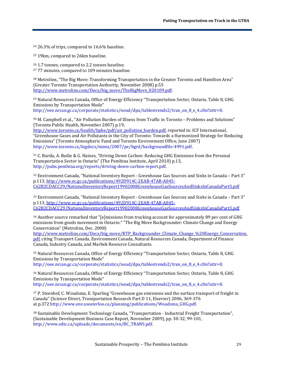<span id="page-29-0"></span><sup>24</sup> 26.3% of trips, compared to 16.6% baseline.

<span id="page-29-1"></span><sup>25</sup> 19km, compared to 26km baseline.

<span id="page-29-3"></span><span id="page-29-2"></span><sup>26</sup> 1.7 tonnes, compared to 2.2 tonnes baseline. <sup>27</sup> 77 minutes, compared to 109 minutes baseline.

<span id="page-29-4"></span><sup>28</sup> Metrolinx, "The Big Move: Transforming Transportation in the Greater Toronto and Hamilton Area" (Greater Toronto Transportation Authority, November 2008) p.55 [http://www.metrolinx.com/Docs/big\\_move/TheBigMove\\_020109.pdf.](http://www.metrolinx.com/Docs/big_move/TheBigMove_020109.pdf)

<span id="page-29-5"></span><sup>29</sup> Natural Resources Canada, Office of Energy Efficiency "Transportation Sector, Ontario, Table 8, GHG Emissions by Transportation Mode"

http://oee.nrcan.gc.ca/corporate/statistics/neud/dpa/tablestrends2/tran\_on\_8\_e\_4.cfm?attr=0.

<span id="page-29-6"></span><sup>30</sup> M. Campbell et al., "Air Pollution Burden of Illness from Traffic in Toronto – Problems and Solutions" (Toronto Public Health, November 2007) p.19,

[http://www.toronto.ca/health/hphe/pdf/air\\_pollution\\_burden.pdf,](http://www.toronto.ca/health/hphe/pdf/air_pollution_burden.pdf) reported in: ICF International, "Greenhouse Gases and Air Pollutants in the City of Toronto: Towards a Harmonized Strategy for Reducing Emissions" (Toronto Atmospheric Fund and Toronto Environment Office, June 2007) [http://www.toronto.ca/legdocs/mmis/2007/pe/bgrd/backgroundfile-4991.pdf.](http://www.toronto.ca/legdocs/mmis/2007/pe/bgrd/backgroundfile-4991.pdf)

<span id="page-29-7"></span><sup>31</sup> C. Burda, A. Bailie & G. Haines, "Driving Down Carbon: Reducing GHG Emissions from the Personal Transportation Sector in Ontario" (The Pembina Institute, April 2010) p.13, [http://pubs.pembina.org/reports/driving-down-carbon-report.pdf.](http://pubs.pembina.org/reports/driving-down-carbon-report.pdf)

<span id="page-29-8"></span><sup>32</sup> Environment Canada, "National Inventory Report - Greenhouse Gas Sources and Sinks in Canada – Part 3" p.113[, http://www.ec.gc.ca/publications/492D914C-2EAB-47AB-A045-](http://www.ec.gc.ca/publications/492D914C-2EAB-47AB-A045-C62B2CDACC29/NationalInventoryReport19902008GreenhouseGasSourcesAndSinksInCanadaPart3.pdf) [C62B2CDACC29/NationalInventoryReport19902008GreenhouseGasSourcesAndSinksInCanadaPart3.pdf](http://www.ec.gc.ca/publications/492D914C-2EAB-47AB-A045-C62B2CDACC29/NationalInventoryReport19902008GreenhouseGasSourcesAndSinksInCanadaPart3.pdf)

<span id="page-29-9"></span><sup>33</sup> Environment Canada, "National Inventory Report - Greenhouse Gas Sources and Sinks in Canada – Part 3" p.113[, http://www.ec.gc.ca/publications/492D914C-2EAB-47AB-A045-](http://www.ec.gc.ca/publications/492D914C-2EAB-47AB-A045-C62B2CDACC29/NationalInventoryReport19902008GreenhouseGasSourcesAndSinksInCanadaPart3.pdf) [C62B2CDACC29/NationalInventoryReport19902008GreenhouseGasSourcesAndSinksInCanadaPart3.pdf](http://www.ec.gc.ca/publications/492D914C-2EAB-47AB-A045-C62B2CDACC29/NationalInventoryReport19902008GreenhouseGasSourcesAndSinksInCanadaPart3.pdf)

<span id="page-29-10"></span><sup>34</sup> Another source remarked that "[e]missions from trucking account for approximately 89 per cent of GHG emissions from goods movement in Ontario:" "The Big Move Backgrounder: Climate Change and Energy Conservation" (Metrolinx, Dec. 2008)

[http://www.metrolinx.com/Docs/big\\_move/RTP\\_Backgrounder\\_Climate\\_Change\\_%20Energy\\_Conservation.](http://www.metrolinx.com/Docs/big_move/RTP_Backgrounder_Climate_Change_%20Energy_Conservation.pdf) [pdf,](http://www.metrolinx.com/Docs/big_move/RTP_Backgrounder_Climate_Change_%20Energy_Conservation.pdf) citing Transport Canada, Environment Canada, Natural Resources Canada, Department of Finance Canada, Industry Canada, and Marbek Resource Consultants.

<span id="page-29-11"></span><sup>35</sup> Natural Resources Canada, Office of Energy Efficiency "Transportation Sector, Ontario, Table 8, GHG Emissions by Transportation Mode"

[http://oee.nrcan.gc.ca/corporate/statistics/neud/dpa/tablestrends2/tran\\_on\\_8\\_e\\_4.cfm?attr=0.](http://oee.nrcan.gc.ca/corporate/statistics/neud/dpa/tablestrends2/tran_on_8_e_4.cfm?attr=0)

<span id="page-29-12"></span><sup>36</sup> Natural Resources Canada, Office of Energy Efficiency "Transportation Sector, Ontario, Table 8, GHG Emissions by Transportation Mode"

[http://oee.nrcan.gc.ca/corporate/statistics/neud/dpa/tablestrends2/tran\\_on\\_8\\_e\\_4.cfm?attr=0.](http://oee.nrcan.gc.ca/corporate/statistics/neud/dpa/tablestrends2/tran_on_8_e_4.cfm?attr=0) 

<span id="page-29-13"></span><sup>37</sup> P. Steenhof, C. Woudsma, E. Sparling "Greenhouse gas emissions and the surface transport of freight in Canada" (Science Direct, Transportation Research Part D 11, Elsevier) 2006, 369-376 at p.372 [http://www.env.uwaterloo.ca/planning/publications/Woudsma\\_GHG.pdf.](http://www.env.uwaterloo.ca/planning/publications/Woudsma_GHG.pdf)

<span id="page-29-14"></span><sup>38</sup> Sustainable Development Technology Canada, "Transportation - Industrial Freight Transportation", (Sustainable Development Business Case Report, November 2009), pp. 30-32, 99-101, [http://www.sdtc.ca/uploads/documents/en/BC\\_TRANS.pdf.](http://www.sdtc.ca/uploads/documents/en/BC_TRANS.pdf)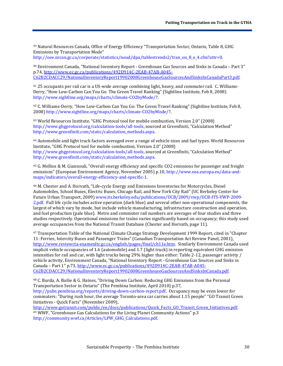<span id="page-30-0"></span><sup>39</sup> Natural Resources Canada, Office of Energy Efficiency "Transportation Sector, Ontario, Table 8, GHG Emissions by Transportation Mode"

http://oee.nrcan.gc.ca/corporate/statistics/neud/dpa/tablestrends2/tran\_on\_8\_e\_4.cfm?attr=0.

<span id="page-30-1"></span><sup>40</sup> Environment Canada, "National Inventory Report - Greenhouse Gas Sources and Sinks in Canada – Part 3" p.74, [http://www.ec.gc.ca/publications/492D914C-2EAB-47AB-A045-](http://www.ec.gc.ca/publications/492D914C-2EAB-47AB-A045-C62B2CDACC29/NationalInventoryReport19902008GreenhouseGasSourcesAndSinksInCanadaPart3.pdf) [C62B2CDACC29/NationalInventoryReport19902008GreenhouseGasSourcesAndSinksInCanadaPart3.pdf.](http://www.ec.gc.ca/publications/492D914C-2EAB-47AB-A045-C62B2CDACC29/NationalInventoryReport19902008GreenhouseGasSourcesAndSinksInCanadaPart3.pdf)

<span id="page-30-2"></span><sup>41</sup> 25 occupants per rail car is a US-wide average combining light, heavy, and commuter rail. C. Williams-Derry, "How Low-Carbon Can You Go: The Green Travel Ranking" (Sightline Institute, Feb 8, 2008) [http://www.sightline.org/maps/charts/climate-CO2byMode/?](http://www.sightline.org/maps/charts/climate-CO2byMode/).

<span id="page-30-3"></span><sup>42</sup> C. Williams-Derry, "How Low-Carbon Can You Go: The Green Travel Ranking" (Sightline Institute, Feb 8, 2008) [http://www.sightline.org/maps/charts/climate-CO2byMode/?](http://www.sightline.org/maps/charts/climate-CO2byMode/).

<span id="page-30-4"></span><sup>43</sup> World Resources Institute, "GHG Protocol tool for mobile combustion, Version 2.0" (2008) [http://www.ghgprotocol.org/calculation-tools/all-tools,](http://www.ghgprotocol.org/calculation-tools/all-tools) sourced at Greenfiniti, "Calculation Method" [http://www.greenfiniti.com/static/calculation\\_methods.aspx.](http://www.greenfiniti.com/static/calculation_methods.aspx) 

<span id="page-30-5"></span><sup>44</sup> Automobile and light truck factors averaged over a range of vehicle sizes and fuel types. World Resources Institute, "GHG Protocol tool for mobile combustion, Version 2.0" (2008) [http://www.ghgprotocol.org/calculation-tools/all-tools,](http://www.ghgprotocol.org/calculation-tools/all-tools) sourced at Greenfiniti, "Calculation Method" [http://www.greenfiniti.com/static/calculation\\_methods.aspx.](http://www.greenfiniti.com/static/calculation_methods.aspx) 

<span id="page-30-6"></span><sup>45</sup> G. Mellios & M. Giannouli, "Overall energy efficiency and specific CO2 emissions for passenger and freight emissions" (European Environment Agency, November 2005) p.10[, http://www.eea.europa.eu/data-and](http://www.eea.europa.eu/data-and-maps/indicators/overall-energy-efficiency-and-specific-1)[maps/indicators/overall-energy-efficiency-and-specific-1.](http://www.eea.europa.eu/data-and-maps/indicators/overall-energy-efficiency-and-specific-1)

<span id="page-30-7"></span><sup>46</sup> M. Chester and A. Horvath, "Life-cycle Energy and Emissions Inventories for Motorcycles, Diesel Automobiles, School Buses, Electric Buses, Chicago Rail, and New York City Rail" (UC Berkeley Center for Future Urban Transport, 2009[\) www.its.berkeley.edu/publications/UCB/2009/vwp/UCB-ITS-VWP-2009-](http://www.its.berkeley.edu/publications/UCB/2009/vwp/UCB-ITS-VWP-2009-2.pdf) [2.pdf.](http://www.its.berkeley.edu/publications/UCB/2009/vwp/UCB-ITS-VWP-2009-2.pdf) Full life cycle includes active operation (dark blue) and several other non-operational components, the largest of which vary by mode, but include vehicle manufacturing, infrastructure construction and operation, and fuel production (pale blue). Metro and commuter rail numbers are averages of four studies and three studies respectively. Operational emissions for trains varies significantly based on occupancy; this study used average occupancies from the National Transit Database (Chester and Horvath, page 11).

<span id="page-30-8"></span><sup>47</sup> Transportation Table of the National Climate Change Strategy Development 1999 Report, cited in "Chapter 11: Ferries, Intercity Buses and Passenger Trains" (Canadian Transportation Act Review Panel, 2001), [http://www.reviewcta-examenltc.gc.ca/english/pages/final/ch11e.htm.](http://www.reviewcta-examenltc.gc.ca/english/pages/final/ch11e.htm) Similarly Environment Canada used implicit vehicle occupancies of 1.6 (automobile) and 1.7 (light truck) in reporting equivalent GHG emission intensities for rail and car, with light trucks being 29% higher than either: Table 2-12, passenger activity / vehicle activity, Environment Canada, "National Inventory Report - Greenhouse Gas Sources and Sinks in Canada – Part 1" p.73[, http://www.ec.gc.ca/publications/492D914C-2EAB-47AB-A045-](http://www.ec.gc.ca/publications/492D914C-2EAB-47AB-A045-C62B2CDACC29/NationalInventoryReport19902008GreenhouseGasSourcesAndSinksInCanada.pdf) [C62B2CDACC29/NationalInventoryReport19902008GreenhouseGasSourcesAndSinksInCanada.pdf.](http://www.ec.gc.ca/publications/492D914C-2EAB-47AB-A045-C62B2CDACC29/NationalInventoryReport19902008GreenhouseGasSourcesAndSinksInCanada.pdf)

<span id="page-30-9"></span><sup>48</sup> C. Burda, A. Bailie & G. Haines, "Driving Down Carbon: Reducing GHG Emissions from the Personal Transportation Sector in Ontario" (The Pembina Institute, April 2010) p.37, [http://pubs.pembina.org/reports/driving-down-carbon-report.pdf.](http://pubs.pembina.org/reports/driving-down-carbon-report.pdf) Occupancy may be even lower for commuters: "During rush hour, the average Toronto-area car carries about 1.15 people" "GO Transit Green Initiatives - Quick Facts" (November 2009),

<span id="page-30-10"></span>http://www.gotransit.com/public/en/docs/publications/Quick Facts GO Transit Green Initiatives.pdf. <sup>49</sup> WWF, "Greenhouse Gas Calculations for the Living Planet Community Actions" p.3 [http://community.wwf.ca/Articles/LPW\\_GHG\\_Calculations.pdf.](http://community.wwf.ca/Articles/LPW_GHG_Calculations.pdf)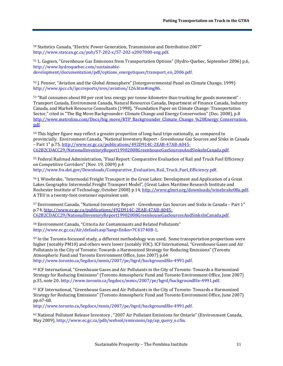<span id="page-31-0"></span><sup>50</sup> Statistics Canada, "Electric Power Generation, Transmission and Distribution 2007" [http://www.statcan.gc.ca/pub/57-202-x/57-202-x2007000-eng.pdf.](http://www.statcan.gc.ca/pub/57-202-x/57-202-x2007000-eng.pdf) 

<span id="page-31-1"></span><sup>51</sup> L. Gagnon, "Greenhouse Gas Emissions from Transportation Options" (Hydro-Quebec, September 2006) p.6, [http://www.hydroquebec.com/sustainable](http://www.hydroquebec.com/sustainable-development/documentation/pdf/options_energetiques/transport_en_2006.pdf)[development/documentation/pdf/options\\_energetiques/transport\\_en\\_2006.pdf.](http://www.hydroquebec.com/sustainable-development/documentation/pdf/options_energetiques/transport_en_2006.pdf)

<span id="page-31-2"></span><sup>52</sup> J. Penner, "Aviation and the Global Atmosphere" (Intergovernmental Panel on Climate Change, 1999) [http://www.ipcc.ch/ipccreports/sres/aviation/126.htm#img86.](http://www.ipcc.ch/ipccreports/sres/aviation/126.htm#img86) 

<span id="page-31-3"></span><sup>53</sup> "Rail consumes about 80 per cent less energy per tonne-kilometre than trucking for goods movement" - Transport Canada, Environment Canada, Natural Resources Canada, Department of Finance Canada, Industry Canada, and Marbek Resource Consultants (1998), "Foundation Paper on Climate Change: Transportation Sector," cited in "The Big Move Backgrounder: Climate Change and Energy Conservation" (Dec. 2008), p.8 [http://www.metrolinx.com/Docs/big\\_move/RTP\\_Backgrounder\\_Climate\\_Change\\_%20Energy\\_Conservation.](http://www.metrolinx.com/Docs/big_move/RTP_Backgrounder_Climate_Change_%20Energy_Conservation.pdf) [pdf.](http://www.metrolinx.com/Docs/big_move/RTP_Backgrounder_Climate_Change_%20Energy_Conservation.pdf)

<span id="page-31-4"></span><sup>54</sup> This higher figure may reflect a greater proportion of long-haul trips nationally, as compared to provincially. Environment Canada, "National Inventory Report - Greenhouse Gas Sources and Sinks in Canada – Part 1" p.75, [http://www.ec.gc.ca/publications/492D914C-2EAB-47AB-A045-](http://www.ec.gc.ca/publications/492D914C-2EAB-47AB-A045-C62B2CDACC29/NationalInventoryReport19902008GreenhouseGasSourcesAndSinksInCanada.pdf) [C62B2CDACC29/NationalInventoryReport19902008GreenhouseGasSourcesAndSinksInCanada.pdf.](http://www.ec.gc.ca/publications/492D914C-2EAB-47AB-A045-C62B2CDACC29/NationalInventoryReport19902008GreenhouseGasSourcesAndSinksInCanada.pdf)

<span id="page-31-5"></span><sup>55</sup> Federal Railroad Administration, "Final Report: Comparative Evaluation of Rail and Truck Fuel Efficiency on Competitive Corridors" (Nov. 19, 2009) p.4 [http://www.fra.dot.gov/Downloads/Comparative\\_Evaluation\\_Rail\\_Truck\\_Fuel\\_Efficiency.pdf.](http://www.fra.dot.gov/Downloads/Comparative_Evaluation_Rail_Truck_Fuel_Efficiency.pdf) 

<span id="page-31-6"></span><sup>56</sup> J. Winebrake, "Intermodal Freight Transport in the Great Lakes: Development and Application of a Great Lakes Geographic Intermodal Freight Transport Model", (Great Lakes Maritime Research Institute and Rochester Institute of Technology, October 2008) p.14[, http://www.glmri.org/downloads/winebrake08a.pdf.](http://www.glmri.org/downloads/winebrake08a.pdf) A TEU is a twenty-foot container equivalent unit.

<span id="page-31-7"></span><sup>57</sup> Environment Canada, "National Inventory Report - Greenhouse Gas Sources and Sinks in Canada – Part 1" p.74, [http://www.ec.gc.ca/publications/492D914C-2EAB-47AB-A045-](http://www.ec.gc.ca/publications/492D914C-2EAB-47AB-A045-C62B2CDACC29/NationalInventoryReport19902008GreenhouseGasSourcesAndSinksInCanada.pdf) [C62B2CDACC29/NationalInventoryReport19902008GreenhouseGasSourcesAndSinksInCanada.pdf.](http://www.ec.gc.ca/publications/492D914C-2EAB-47AB-A045-C62B2CDACC29/NationalInventoryReport19902008GreenhouseGasSourcesAndSinksInCanada.pdf)

<span id="page-31-8"></span><sup>58</sup> Environment Canada, "Criteria Air Contaminants and Related Pollutants" [http://www.ec.gc.ca/Air/default.asp?lang=En&n=7C43740B-1.](http://www.ec.gc.ca/Air/default.asp?lang=En&n=7C43740B-1) 

<span id="page-31-9"></span><sup>59</sup> In the Toronto-focussed study, a different methodology was used. Some transportation proportions were higher (notably PM10) and others were lower (notably VOC). ICF International, "Greenhouse Gases and Air Pollutants in the City of Toronto: Towards a Harmonized Strategy for Reducing Emissions" (Toronto Atmospheric Fund and Toronto Environment Office, June 2007) p.64 [http://www.toronto.ca/legdocs/mmis/2007/pe/bgrd/backgroundfile-4991.pdf.](http://www.toronto.ca/legdocs/mmis/2007/pe/bgrd/backgroundfile-4991.pdf)

<span id="page-31-10"></span><sup>60</sup> ICF International, "Greenhouse Gases and Air Pollutants in the City of Toronto: Towards a Harmonized Strategy for Reducing Emissions" (Toronto Atmospheric Fund and Toronto Environment Office, June 2007) p.35, note 20[. http://www.toronto.ca/legdocs/mmis/2007/pe/bgrd/backgroundfile-4991.pdf.](http://www.toronto.ca/legdocs/mmis/2007/pe/bgrd/backgroundfile-4991.pdf)

<span id="page-31-11"></span><sup>61</sup> ICF International, "Greenhouse Gases and Air Pollutants in the City of Toronto: Towards a Harmonized Strategy for Reducing Emissions" (Toronto Atmospheric Fund and Toronto Environment Office, June 2007) pp.67-68.

[http://www.toronto.ca/legdocs/mmis/2007/pe/bgrd/backgroundfile-4991.pdf.](http://www.toronto.ca/legdocs/mmis/2007/pe/bgrd/backgroundfile-4991.pdf)

<span id="page-31-12"></span><sup>62</sup> National Pollutant Release Inventory , "2007 Air Pollutant Emissions for Ontario" (Environment Canada, May 2009)[, http://www.ec.gc.ca/pdb/websol/emissions/ap/ap\\_query\\_e.cfm.](http://www.ec.gc.ca/pdb/websol/emissions/ap/ap_query_e.cfm)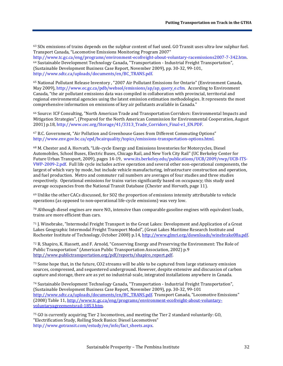<span id="page-32-0"></span> $63$  SOx emissions of trains depends on the sulphur content of fuel used. GO Transit uses ultra-low sulphur fuel. Transport Canada, "Locomotive Emissions Monitoring Program 2007"

<span id="page-32-1"></span>[http://www.tc.gc.ca/eng/programs/environment-ecofreight-about-voluntary-racemissions2007-7-342.htm.](http://www.tc.gc.ca/eng/programs/environment-ecofreight-about-voluntary-racemissions2007-7-342.htm) <sup>64</sup> Sustainable Development Technology Canada, "Transportation - Industrial Freight Transportation", (Sustainable Development Business Case Report, November 2009), pp. 30-32, 99-101, [http://www.sdtc.ca/uploads/documents/en/BC\\_TRANS.pdf.](http://www.sdtc.ca/uploads/documents/en/BC_TRANS.pdf) 

<span id="page-32-2"></span><sup>65</sup> National Pollutant Release Inventory , "2007 Air Pollutant Emissions for Ontario" (Environment Canada, May 2009)[, http://www.ec.gc.ca/pdb/websol/emissions/ap/ap\\_query\\_e.cfm.](http://www.ec.gc.ca/pdb/websol/emissions/ap/ap_query_e.cfm) According to Environment Canada, "the air pollutant emissions data was compiled in collaboration with provincial, territorial and regional environmental agencies using the latest emission estimation methodologies. It represents the most comprehensive information on emissions of key air pollutants available in Canada."

<span id="page-32-3"></span><sup>66</sup> Source: ICF Consulting, "North American Trade and Transportation Corridors: Environmental Impacts and Mitigation Strategies", (Prepared for the North American Commission for Environmental Cooperation, August 2001) p.18, [http://www.cec.org/Storage/41/3313\\_Trade\\_Corridors\\_Final-e1\\_EN.PDF.](http://www.cec.org/Storage/41/3313_Trade_Corridors_Final-e1_EN.PDF)

<span id="page-32-4"></span><sup>67</sup> B.C. Government, "Air Pollution and Greenhouse Gases from Different Commuting Options" [http://www.env.gov.bc.ca/epd/bcairquality/topics/emissions-transportation-options.html.](http://www.env.gov.bc.ca/epd/bcairquality/topics/emissions-transportation-options.html) 

<span id="page-32-5"></span><sup>68</sup> M. Chester and A. Horvath, "Life-cycle Energy and Emissions Inventories for Motorcycles, Diesel Automobiles, School Buses, Electric Buses, Chicago Rail, and New York City Rail" (UC Berkeley Center for Future Urban Transport, 2009), pages 14-19, [www.its.berkeley.edu/publications/UCB/2009/vwp/UCB-ITS-](http://www.its.berkeley.edu/publications/UCB/2009/vwp/UCB-ITS-VWP-2009-2.pdf)[VWP-2009-2.pdf.](http://www.its.berkeley.edu/publications/UCB/2009/vwp/UCB-ITS-VWP-2009-2.pdf) Full life cycle includes active operation and several other non-operational components, the largest of which vary by mode, but include vehicle manufacturing, infrastructure construction and operation, and fuel production. Metro and commuter rail numbers are averages of four studies and three studies respectively. Operational emissions for trains varies significantly based on occupancy; this study used average occupancies from the National Transit Database (Chester and Horvath, page 11).

<span id="page-32-6"></span><sup>69</sup> Unlike the other CACs discussed, for SO2 the proportion of emissions intensity attributable to vehicle operations (as opposed to non-operational life-cycle emissions) was very low.

<span id="page-32-7"></span> $70$  Although diesel engines are more NO<sub>x</sub> intensive than comparable gasoline engines with equivalent loads, trains are more efficient than cars.

<span id="page-32-8"></span><sup>71</sup> J. Winebrake, "Intermodal Freight Transport in the Great Lakes: Development and Application of a Great Lakes Geographic Intermodal Freight Transport Model", (Great Lakes Maritime Research Institute and Rochester Institute of Technology, October 2008) p.14[, http://www.glmri.org/downloads/winebrake08a.pdf.](http://www.glmri.org/downloads/winebrake08a.pdf)

<span id="page-32-9"></span><sup>72</sup> R. Shapiro, K. Hassett, and F. Arnold, "Conserving Energy and Preserving the Environment: The Role of Public Transportation" (American Public Transportation Association, 2002) p.9 [http://www.publictransportation.org/pdf/reports/shapiro\\_report.pdf.](http://www.google.com/url?q=http%3A%2F%2Fwww.publictransportation.org%2Fpdf%2Freports%2Fshapiro_report.pdf&sa=D&sntz=1&usg=AFQjCNHoekamwUYkFr2R8TWRwVHaBXxrVA)

<span id="page-32-10"></span><sup>73</sup> Some hope that, in the future, CO2 streams will be able to be captured from large stationary emission sources, compressed, and sequestered underground. However, despite extensive and discussion of carbon capture and storage, there are as yet no industrial-scale, integrated installations anywhere in Canada.

<span id="page-32-11"></span><sup>74</sup> Sustainable Development Technology Canada, "Transportation - Industrial Freight Transportation", (Sustainable Development Business Case Report, November 2009), pp. 30-32, 99-101 [http://www.sdtc.ca/uploads/documents/en/BC\\_TRANS.pdf.](http://www.sdtc.ca/uploads/documents/en/BC_TRANS.pdf) Transport Canada, "Locomotive Emissions" (2008) Table 11[, http://www.tc.gc.ca/eng/programs/environment-ecofreight-about-voluntary](http://www.tc.gc.ca/eng/programs/environment-ecofreight-about-voluntary-voluntaryagreementsrail-1853.htm)[voluntaryagreementsrail-1853.htm.](http://www.tc.gc.ca/eng/programs/environment-ecofreight-about-voluntary-voluntaryagreementsrail-1853.htm)

<span id="page-32-12"></span><sup>75</sup> GO is currently acquiring Tier 2 locomotives, and meeting the Tier 2 standard voluntarily: GO, "Electrification Study, Rolling Stock Basics: Diesel Locomotives" [http://www.gotransit.com/estudy/en/info/fact\\_sheets.aspx.](http://www.gotransit.com/estudy/en/info/fact_sheets.aspx)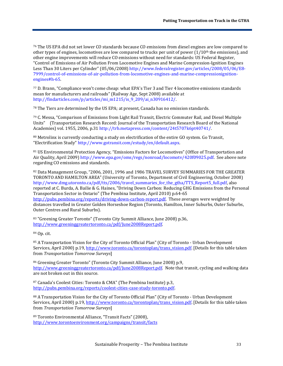<span id="page-33-0"></span><sup>76</sup> The US EPA did not set lower CO standards because CO emissions from diesel engines are low compared to other types of engines, locomotives are low compared to trucks per unit of power  $(1/10<sup>th</sup>$  the emissions), and other engine improvements will reduce CO emissions without need for standards: US Federal Register, "Control of Emissions of Air Pollution From Locomotive Engines and Marine Compression-Ignition Engines Less Than 30 Liters per Cylinder" (05/06/2008[\) http://www.federalregister.gov/articles/2008/05/06/E8-](http://www.federalregister.gov/articles/2008/05/06/E8-7999/control-of-emissions-of-air-pollution-from-locomotive-engines-and-marine-compressionignition-engines#h-65) [7999/control-of-emissions-of-air-pollution-from-locomotive-engines-and-marine-compressionignition](http://www.federalregister.gov/articles/2008/05/06/E8-7999/control-of-emissions-of-air-pollution-from-locomotive-engines-and-marine-compressionignition-engines#h-65)[engines#h-65.](http://www.federalregister.gov/articles/2008/05/06/E8-7999/control-of-emissions-of-air-pollution-from-locomotive-engines-and-marine-compressionignition-engines#h-65) 

<span id="page-33-1"></span><sup>77</sup> D. Brann, "Compliance won't come cheap: what EPA's Tier 3 and Tier 4 locomotive emissions standards mean for manufacturers and railroads" (Railway Age, Sept 2008) available at [http://findarticles.com/p/articles/mi\\_m1215/is\\_9\\_209/ai\\_n30916412/.](http://findarticles.com/p/articles/mi_m1215/is_9_209/ai_n30916412/) 

<span id="page-33-2"></span> $78$  The Tiers are determined by the US EPA; at present, Canada has no emission standards.

<span id="page-33-3"></span><sup>79</sup> C. Messa, "Comparison of Emissions from Light Rail Transit, Electric Commuter Rail, and Diesel Multiple Units" (Transportation Research Record: Journal of the Transportation Research Board of the National Academies) vol. 1955, 2006, p.31 [http://trb.metapress.com/content/24t5707k6pt40741/.](http://trb.metapress.com/content/24t5707k6pt40741/)

<span id="page-33-4"></span>80 Metrolinx is currently conducting a study on electrification of the entire GO system. Go Transit, "Electrification Study[" http://www.gotransit.com/estudy/en/default.aspx.](http://www.gotransit.com/estudy/en/default.aspx) 

<span id="page-33-5"></span><sup>81</sup> US Environmental Protection Agency, "Emissions Factors for Locomotives" (Office of Transportation and Air Quality, April 2009) [http://www.epa.gov/oms/regs/nonroad/locomotv/420f09025.pdf.](http://www.epa.gov/oms/regs/nonroad/locomotv/420f09025.pdf) See above note regarding CO emissions and standards.

<span id="page-33-6"></span>82 Data Management Group, "2006, 2001, 1996 and 1986 TRAVEL SURVEY SUMMARIES FOR THE GREATER TORONTO AND HAMILTON AREA" (University of Toronto, Department of Civil Engineering, October 2008) [http://www.dmg.utoronto.ca/pdf/tts/2006/travel\\_summaries\\_for\\_the\\_gtha/TTS\\_Report5\\_full.pdf,](http://www.dmg.utoronto.ca/pdf/tts/2006/travel_summaries_for_the_gtha/TTS_Report5_full.pdf) also reported at C. Burda, A. Bailie & G. Haines, "Driving Down Carbon: Reducing GHG Emissions from the Personal Transportation Sector in Ontario" (The Pembina Institute, April 2010) p.64-65 [http://pubs.pembina.org/reports/driving-down-carbon-report.pdf.](http://pubs.pembina.org/reports/driving-down-carbon-report.pdf) These averages were weighted by distances travelled in Greater Golden Horseshoe Region (Toronto, Hamilton, Inner Suburbs, Outer Suburbs, Outer Centres and Rural Suburbs).

<span id="page-33-7"></span><sup>83</sup> "Greening Greater Toronto" (Toronto City Summit Alliance, June 2008) p.36, [http://www.greeninggreatertoronto.ca/pdf/June2008Report.pdf.](http://www.greeninggreatertoronto.ca/pdf/June2008Report.pdf)

<span id="page-33-8"></span><sup>84</sup> Op. cit.

<span id="page-33-9"></span><sup>85</sup> A Transportation Vision for the City of Toronto Official Plan" (City of Toronto - Urban Development Services, April 2000) p.19[, http://www.toronto.ca/torontoplan/trans\\_vision.pdf.](http://www.toronto.ca/torontoplan/trans_vision.pdf) [Details for this table taken from *Transportation Tomorrow Surveys*]

<span id="page-33-10"></span><sup>86</sup> Greening Greater Toronto" (Toronto City Summit Alliance, June 2008) p.9, [http://www.greeninggreatertoronto.ca/pdf/June2008Report.pdf.](http://www.greeninggreatertoronto.ca/pdf/June2008Report.pdf) Note that transit, cycling and walking data are not broken out in this source.

<span id="page-33-11"></span><sup>87</sup> Canada's Coolest Cities: Toronto & CMA" (The Pembina Institute) p.3, [http://pubs.pembina.org/reports/coolest-cities-case-study-toronto.pdf.](http://pubs.pembina.org/reports/coolest-cities-case-study-toronto.pdf)

<span id="page-33-12"></span>88 A Transportation Vision for the City of Toronto Official Plan" (City of Toronto - Urban Development Services, April 2000) p.19[, http://www.toronto.ca/torontoplan/trans\\_vision.pdf.](http://www.toronto.ca/torontoplan/trans_vision.pdf) [Details for this table taken from *Transportation Tomorrow Surveys*]

<span id="page-33-13"></span><sup>89</sup> Toronto Environmental Alliance, "Transit Facts" (2008), <http://www.torontoenvironment.org/campaigns/transit/facts>